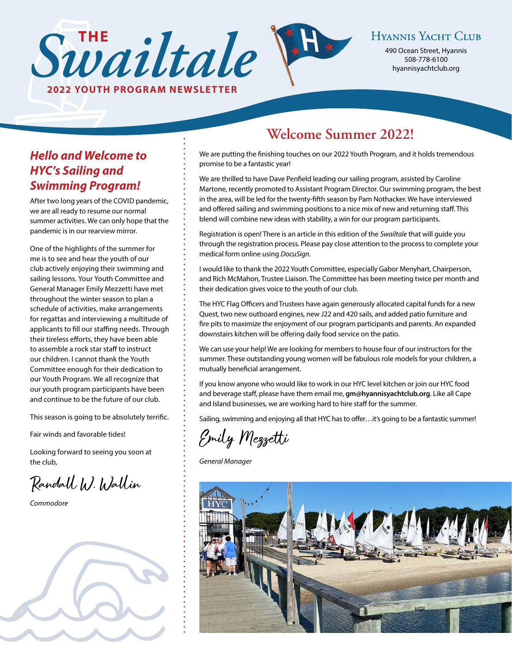490 Ocean Street, Hyannis Sunditale Hyannis Yachit Contract Ayannis Vachit Contract Ayannis Vachit Contract Ayannisyachtclub.org

# *Hello and Welcome to HYC's Sailing and Swimming Program!*

After two long years of the COVID pandemic, we are all ready to resume our normal summer activities. We can only hope that the pandemic is in our rearview mirror.

**2022 YOUTH PROGRAM NEWSLETTER**

One of the highlights of the summer for me is to see and hear the youth of our club actively enjoying their swimming and sailing lessons. Your Youth Committee and General Manager Emily Mezzetti have met throughout the winter season to plan a schedule of activities, make arrangements for regattas and interviewing a multitude of applicants to fill our staffing needs. Through their tireless efforts, they have been able to assemble a rock star staff to instruct our children. I cannot thank the Youth Committee enough for their dedication to our Youth Program. We all recognize that our youth program participants have been and continue to be the future of our club.

This season is going to be absolutely terrific.

Fair winds and favorable tides!

Looking forward to seeing you soon at the club,

Randall W. Wallin

*Commodore* 



# **Welcome Summer 2022!**

We are putting the finishing touches on our 2022 Youth Program, and it holds tremendous promise to be a fantastic year!

We are thrilled to have Dave Penfield leading our sailing program, assisted by Caroline Martone, recently promoted to Assistant Program Director. Our swimming program, the best in the area, will be led for the twenty-fifth season by Pam Nothacker. We have interviewed and offered sailing and swimming positions to a nice mix of new and returning staff. This blend will combine new ideas with stability, a win for our program participants.

Registration is open! There is an article in this edition of the *Swailtale* that will guide you through the registration process. Please pay close attention to the process to complete your medical form online using *DocuSign*.

I would like to thank the 2022 Youth Committee, especially Gabor Menyhart, Chairperson, and Rich McMahon, Trustee Liaison. The Committee has been meeting twice per month and their dedication gives voice to the youth of our club.

The HYC Flag Officers and Trustees have again generously allocated capital funds for a new Quest, two new outboard engines, new J22 and 420 sails, and added patio furniture and fire pits to maximize the enjoyment of our program participants and parents. An expanded downstairs kitchen will be offering daily food service on the patio.

We can use your help! We are looking for members to house four of our instructors for the summer. These outstanding young women will be fabulous role models for your children, a mutually beneficial arrangement.

If you know anyone who would like to work in our HYC level kitchen or join our HYC food and beverage staff, please have them email me, **[gm@hyannisyachtclub.org](mailto:gm@hyannisyachtclub.org)**. Like all Cape and Island businesses, we are working hard to hire staff for the summer.

Sailing, swimming and enjoying all that HYC has to offer…it's going to be a fantastic summer!

Emily Mezzetti

*General Manager*

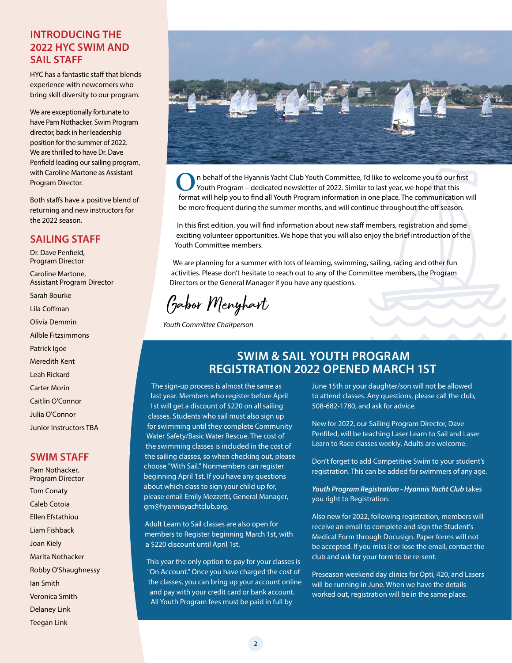# **INTRODUCING THE 2022 HYC SWIM AND SAIL STAFF**

HYC has a fantastic staff that blends experience with newcomers who bring skill diversity to our program.

We are exceptionally fortunate to have Pam Nothacker, Swim Program director, back in her leadership position for the summer of 2022. We are thrilled to have Dr. Dave Penfield leading our sailing program, with Caroline Martone as Assistant Program Director.

Both staffs have a positive blend of returning and new instructors for the 2022 season.

# **SAILING STAFF**

Dr. Dave Penfield, Program Director

Caroline Martone, Assistant Program Director Sarah Bourke Lila Coffman Olivia Demmin Ailble Fitzsimmons Patrick Igoe Meredith Kent Leah Rickard Carter Morin

Caitlin O'Connor

Julia O'Connor

Junior Instructors TBA

# **SWIM STAFF**

Pam Nothacker, Program Director Tom Conaty Caleb Cotoia Ellen Efstathiou Liam Fishback Joan Kiely Marita Nothacker Robby O'Shaughnessy Ian Smith Veronica Smith Delaney Link Teegan Link



n behalf of the Hyannis Yacht Club Youth Committee, I'd like to welcome you to our first Youth Program – dedicated newsletter of 2022. Similar to last year, we hope that this **O** n behalf of the Hyannis Yacht Club Youth Committee, I'd like to welcome you to our first Youth Program – dedicated newsletter of 2022. Similar to last year, we hope that this format will help you to find all Youth Prog be more frequent during the summer months, and will continue throughout the off season.

In this first edition, you will find information about new staff members, registration and some exciting volunteer opportunities. We hope that you will also enjoy the brief introduction of the Youth Committee members.

We are planning for a summer with lots of learning, swimming, sailing, racing and other fun activities. Please don't hesitate to reach out to any of the Committee members, the Program Directors or the General Manager if you have any questions.

Gabor Menyhart

*Youth Committee Chairperson*

# **SWIM & SAIL YOUTH PROGRAM REGISTRATION 2022 OPENED MARCH 1ST**

The sign-up process is almost the same as last year. Members who register before April 1st will get a discount of \$220 on all sailing classes. Students who sail must also sign up for swimming until they complete Community Water Safety/Basic Water Rescue. The cost of the swimming classes is included in the cost of the sailing classes, so when checking out, please choose "With Sail." Nonmembers can register beginning April 1st. If you have any questions about which class to sign your child up for, please email Emily Mezzetti, General Manager, [gm@hyannisyachtclub.org](mailto:gm@hyannisyachtclub.org).

Adult Learn to Sail classes are also open for members to Register beginning March 1st, with a \$220 discount until April 1st.

This year the only option to pay for your classes is "On Account." Once you have charged the cost of the classes, you can bring up your account online and pay with your credit card or bank account. All Youth Program fees must be paid in full by

June 15th or your daughter/son will not be allowed to attend classes. Any questions, please call the club, 508-682-1780, and ask for advice.

New for 2022, our Sailing Program Director, Dave Penfiled, will be teaching Laser Learn to Sail and Laser Learn to Race classes weekly. Adults are welcome.

Don't forget to add Competitive Swim to your student's registration. This can be added for swimmers of any age.

*Youth Program Registration - Hyannis Yacht Club* takes you right to Registration.

Also new for 2022, following registration, members will receive an email to complete and sign the Student's Medical Form through Docusign. Paper forms will not be accepted. If you miss it or lose the email, contact the club and ask for your form to be re-sent.

Preseason weekend day clinics for Opti, 420, and Lasers will be running in June. When we have the details worked out, registration will be in the same place.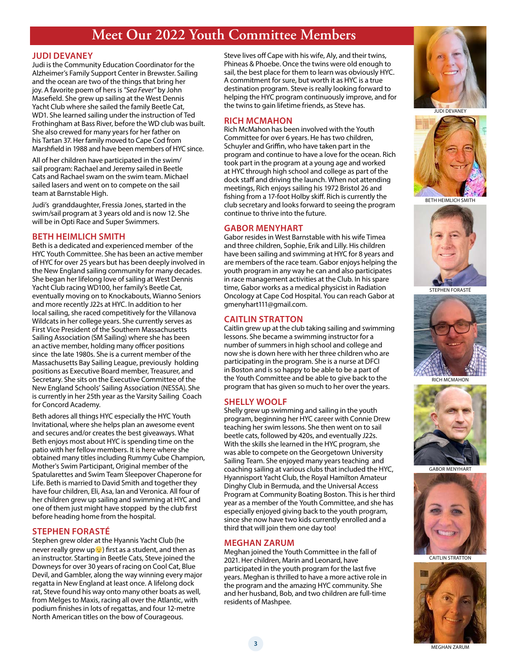# **Meet Our 2022 Youth Committee Members**

### **JUDI DEVANEY**

Judi is the Community Education Coordinator for the Alzheimer's Family Support Center in Brewster. Sailing and the ocean are two of the things that bring her joy. A favorite poem of hers is *"Sea Fever"* by John Masefield. She grew up sailing at the West Dennis Yacht Club where she sailed the family Beetle Cat, WD1. She learned sailing under the instruction of Ted Frothingham at Bass River, before the WD club was built. She also crewed for many years for her father on his Tartan 37. Her family moved to Cape Cod from Marshfield in 1988 and have been members of HYC since.

All of her children have participated in the swim/ sail program: Rachael and Jeremy sailed in Beetle Cats and Rachael swam on the swim team. Michael sailed lasers and went on to compete on the sail team at Barnstable High.

Judi's granddaughter, Fressia Jones, started in the swim/sail program at 3 years old and is now 12. She will be in Opti Race and Super Swimmers.

## **BETH HEIMLICH SMITH**

Beth is a dedicated and experienced member of the HYC Youth Committee. She has been an active member of HYC for over 25 years but has been deeply involved in the New England sailing community for many decades. She began her lifelong love of sailing at West Dennis Yacht Club racing WD100, her family's Beetle Cat, eventually moving on to Knockabouts, Wianno Seniors and more recently J22s at HYC. In addition to her local sailing, she raced competitively for the Villanova Wildcats in her college years. She currently serves as First Vice President of the Southern Massachusetts Sailing Association (SM Sailing) where she has been an active member, holding many officer positions since the late 1980s. She is a current member of the Massachusetts Bay Sailing League, previously holding positions as Executive Board member, Treasurer, and Secretary. She sits on the Executive Committee of the New England Schools' Sailing Association (NESSA). She is currently in her 25th year as the Varsity Sailing Coach for Concord Academy.

Beth adores all things HYC especially the HYC Youth Invitational, where she helps plan an awesome event and secures and/or creates the best giveaways. What Beth enjoys most about HYC is spending time on the patio with her fellow members. It is here where she obtained many titles including Rummy Cube Champion, Mother's Swim Participant, Original member of the Spatularettes and Swim Team Sleepover Chaperone for Life. Beth is married to David Smith and together they have four children, Eli, Asa, Ian and Veronica. All four of her children grew up sailing and swimming at HYC and one of them just might have stopped by the club first before heading home from the hospital.

### **STEPHEN FORASTÉ**

Stephen grew older at the Hyannis Yacht Club (he never really grew up  $\odot$ ) first as a student, and then as an instructor. Starting in Beetle Cats, Steve joined the Downeys for over 30 years of racing on Cool Cat, Blue Devil, and Gambler, along the way winning every major regatta in New England at least once. A lifelong dock rat, Steve found his way onto many other boats as well, from Melges to Maxis, racing all over the Atlantic, with podium finishes in lots of regattas, and four 12-metre North American titles on the bow of Courageous.

Steve lives off Cape with his wife, Aly, and their twins, Phineas & Phoebe. Once the twins were old enough to sail, the best place for them to learn was obviously HYC. A commitment for sure, but worth it as HYC is a true destination program. Steve is really looking forward to helping the HYC program continuously improve, and for the twins to gain lifetime friends, as Steve has.

### **RICH MCMAHON**

Rich McMahon has been involved with the Youth Committee for over 6 years. He has two children, Schuyler and Griffin, who have taken part in the program and continue to have a love for the ocean. Rich took part in the program at a young age and worked at HYC through high school and college as part of the dock staff and driving the launch. When not attending meetings, Rich enjoys sailing his 1972 Bristol 26 and fishing from a 17-foot Holby skiff. Rich is currently the club secretary and looks forward to seeing the program continue to thrive into the future.

## **GABOR MENYHART**

Gabor resides in West Barnstable with his wife Timea and three children, Sophie, Erik and Lilly. His children have been sailing and swimming at HYC for 8 years and are members of the race team. Gabor enjoys helping the youth program in any way he can and also participates in race management activities at the Club. In his spare time, Gabor works as a medical physicist in Radiation Oncology at Cape Cod Hospital. You can reach Gabor at [gmenyhart111@gmail.com.](mailto:gmenyhart111@gmail.com)

# **CAITLIN STRATTON**

Caitlin grew up at the club taking sailing and swimming lessons. She became a swimming instructor for a number of summers in high school and college and now she is down here with her three children who are participating in the program. She is a nurse at DFCI in Boston and is so happy to be able to be a part of the Youth Committee and be able to give back to the program that has given so much to her over the years.

# **SHELLY WOOLF**

Shelly grew up swimming and sailing in the youth program, beginning her HYC career with Connie Drew teaching her swim lessons. She then went on to sail beetle cats, followed by 420s, and eventually J22s. With the skills she learned in the HYC program, she was able to compete on the Georgetown University Sailing Team. She enjoyed many years teaching and coaching sailing at various clubs that included the HYC, Hyannisport Yacht Club, the Royal Hamilton Amateur Dinghy Club in Bermuda, and the Universal Access Program at Community Boating Boston. This is her third year as a member of the Youth Committee, and she has especially enjoyed giving back to the youth program, since she now have two kids currently enrolled and a third that will join them one day too!

### **MEGHAN ZARUM**

Meghan joined the Youth Committee in the fall of 2021. Her children, Marin and Leonard, have participated in the youth program for the last five years. Meghan is thrilled to have a more active role in the program and the amazing HYC community. She and her husband, Bob, and two children are full-time residents of Mashpee.







BETH HEIMLICH SMITH



STEPHEN FORASTÉ





GABOR MENYHART



CAITLIN STRATTON



MEGHAN ZARUM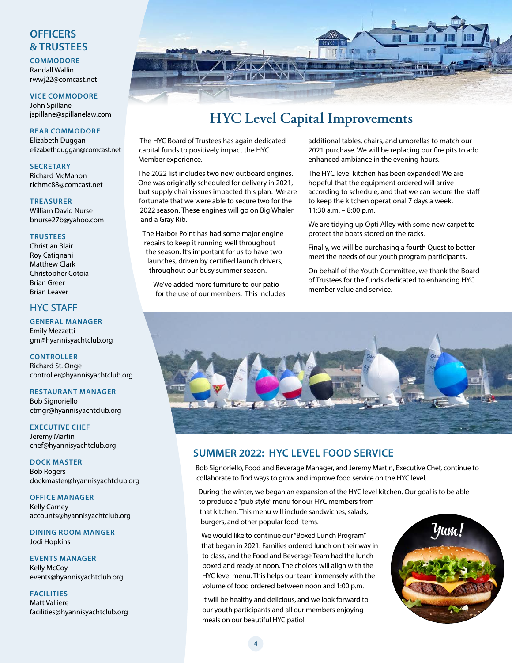# **OFFICERS & TRUSTEES**

#### **COMMODORE** Randall Wallin [rwwj22@comcast.net](mailto:rwwj22@comcast.net)

**VICE COMMODORE** John Spillane [jspillane@spillanelaw.com](mailto:jspillane@spillanelaw.com)

**REAR COMMODORE** Elizabeth Duggan [elizabethduggan@comcast.net](mailto:elizabethduggan@comcast.net)

**SECRETARY** Richard McMahon [richmc88@comcast.net](mailto:richmc88@comcast.net)

**TREASURER** William David Nurse [bnurse27b@yahoo.com](mailto:bnurse27b@yahoo.com)

#### **TRUSTEES**

Christian Blair Roy Catignani Matthew Clark Christopher Cotoia Brian Greer Brian Leaver

# HYC STAFF

# **GENERAL MANAGER**

Emily Mezzetti [gm@hyannisyachtclub.org](mailto:gm@hyannisyachtclub.org)

**CONTROLLER** Richard St. Onge [controller@hyannisyachtclub.org](mailto:controller@hyannisyachtclub.org)

**RESTAURANT MANAGER** Bob Signoriello [ctmgr@hyannisyachtclub.org](mailto:ctmgr@hyannisyachtclub.org)

**EXECUTIVE CHEF** Jeremy Martin [chef@hyannisyachtclub.org](mailto:chef@hyannisyachtclub.org)

**DOCK MASTER** Bob Rogers [dockmaster@hyannisyachtclub.org](mailto:dockmaster@hyannisyachtclub.org)

**OFFICE MANAGER** Kelly Carney [accounts@hyannisyachtclub.org](mailto:accounts@hyannisyachtclub.org)

**DINING ROOM MANGER** Jodi Hopkins

**EVENTS MANAGER** Kelly McCoy [events@hyannisyachtclub.org](mailto:events@hyannisyachtclub.org)

**FACILITIES** Matt Valliere [facilities@hyannisyachtclub.org](mailto:facilities@hyannisyachtclub.org)



# **HYC Level Capital Improvements**

The HYC Board of Trustees has again dedicated capital funds to positively impact the HYC Member experience.

The 2022 list includes two new outboard engines. One was originally scheduled for delivery in 2021, but supply chain issues impacted this plan. We are fortunate that we were able to secure two for the 2022 season. These engines will go on Big Whaler and a Gray Rib.

The Harbor Point has had some major engine repairs to keep it running well throughout the season. It's important for us to have two launches, driven by certified launch drivers, throughout our busy summer season.

We've added more furniture to our patio for the use of our members. This includes additional tables, chairs, and umbrellas to match our 2021 purchase. We will be replacing our fire pits to add enhanced ambiance in the evening hours.

The HYC level kitchen has been expanded! We are hopeful that the equipment ordered will arrive according to schedule, and that we can secure the staff to keep the kitchen operational 7 days a week, 11:30 a.m. – 8:00 p.m.

We are tidying up Opti Alley with some new carpet to protect the boats stored on the racks.

Finally, we will be purchasing a fourth Quest to better meet the needs of our youth program participants.

On behalf of the Youth Committee, we thank the Board of Trustees for the funds dedicated to enhancing HYC member value and service.



# **SUMMER 2022: HYC LEVEL FOOD SERVICE**

Bob Signoriello, Food and Beverage Manager, and Jeremy Martin, Executive Chef, continue to collaborate to find ways to grow and improve food service on the HYC level.

During the winter, we began an expansion of the HYC level kitchen. Our goal is to be able to produce a "pub style" menu for our HYC members from that kitchen. This menu will include sandwiches, salads, burgers, and other popular food items.

We would like to continue our "Boxed Lunch Program" that began in 2021. Families ordered lunch on their way in to class, and the Food and Beverage Team had the lunch boxed and ready at noon. The choices will align with the HYC level menu. This helps our team immensely with the volume of food ordered between noon and 1:00 p.m.

It will be healthy and delicious, and we look forward to our youth participants and all our members enjoying meals on our beautiful HYC patio!

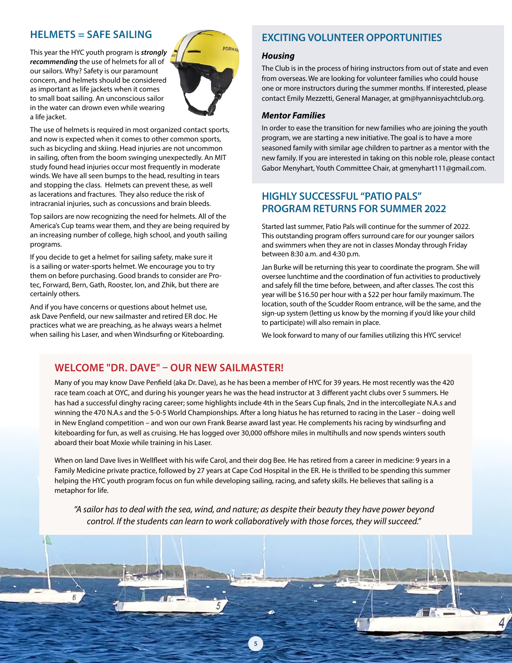# **HELMETS = SAFE SAILING**

This year the HYC youth program is *strongly recommending* the use of helmets for all of our sailors. Why? Safety is our paramount concern, and helmets should be considered as important as life jackets when it comes to small boat sailing. An unconscious sailor in the water can drown even while wearing a life jacket.



The use of helmets is required in most organized contact sports, and now is expected when it comes to other common sports, such as bicycling and skiing. Head injuries are not uncommon in sailing, often from the boom swinging unexpectedly. An MIT study found head injuries occur most frequently in moderate winds. We have all seen bumps to the head, resulting in tears and stopping the class. Helmets can prevent these, as well as lacerations and fractures. They also reduce the risk of intracranial injuries, such as concussions and brain bleeds.

Top sailors are now recognizing the need for helmets. All of the America's Cup teams wear them, and they are being required by an increasing number of college, high school, and youth sailing programs.

If you decide to get a helmet for sailing safety, make sure it is a sailing or water-sports helmet. We encourage you to try them on before purchasing. Good brands to consider are Protec, Forward, Bern, Gath, Rooster, Ion, and Zhik, but there are certainly others.

And if you have concerns or questions about helmet use, ask Dave Penfield, our new sailmaster and retired ER doc. He practices what we are preaching, as he always wears a helmet when sailing his Laser, and when Windsurfing or Kiteboarding.

# **EXCITING VOLUNTEER OPPORTUNITIES**

### *Housing*

The Club is in the process of hiring instructors from out of state and even from overseas. We are looking for volunteer families who could house one or more instructors during the summer months. If interested, please contact Emily Mezzetti, General Manager, at [gm@hyannisyachtclub.org.](mailto:gm@hyannisyachtclub.org)

# *Mentor Families*

In order to ease the transition for new families who are joining the youth program, we are starting a new initiative. The goal is to have a more seasoned family with similar age children to partner as a mentor with the new family. If you are interested in taking on this noble role, please contact Gabor Menyhart, Youth Committee Chair, at [gmenyhart111@gmail.com](mailto:gmenyhart111@gmail.com).

# **HIGHLY SUCCESSFUL "PATIO PALS" PROGRAM RETURNS FOR SUMMER 2022**

Started last summer, Patio Pals will continue for the summer of 2022. This outstanding program offers surround care for our younger sailors and swimmers when they are not in classes Monday through Friday between 8:30 a.m. and 4:30 p.m.

Jan Burke will be returning this year to coordinate the program. She will oversee lunchtime and the coordination of fun activities to productively and safely fill the time before, between, and after classes. The cost this year will be \$16.50 per hour with a \$22 per hour family maximum. The location, south of the Scudder Room entrance, will be the same, and the sign-up system (letting us know by the morning if you'd like your child to participate) will also remain in place.

We look forward to many of our families utilizing this HYC service!

# **WELCOME "DR. DAVE" – OUR NEW SAILMASTER!**

Many of you may know Dave Penfield (aka Dr. Dave), as he has been a member of HYC for 39 years. He most recently was the 420 race team coach at OYC, and during his younger years he was the head instructor at 3 different yacht clubs over 5 summers. He has had a successful dinghy racing career; some highlights include 4th in the Sears Cup finals, 2nd in the intercollegiate N.A.s and winning the 470 N.A.s and the 5-0-5 World Championships. After a long hiatus he has returned to racing in the Laser – doing well in New England competition – and won our own Frank Bearse award last year. He complements his racing by windsurfing and kiteboarding for fun, as well as cruising. He has logged over 30,000 offshore miles in multihulls and now spends winters south aboard their boat Moxie while training in his Laser.

When on land Dave lives in Wellfleet with his wife Carol, and their dog Bee. He has retired from a career in medicine: 9 years in a Family Medicine private practice, followed by 27 years at Cape Cod Hospital in the ER. He is thrilled to be spending this summer helping the HYC youth program focus on fun while developing sailing, racing, and safety skills. He believes that sailing is a metaphor for life.

*"A sailor has to deal with the sea, wind, and nature; as despite their beauty they have power beyond control. If the students can learn to work collaboratively with those forces, they will succeed."* 

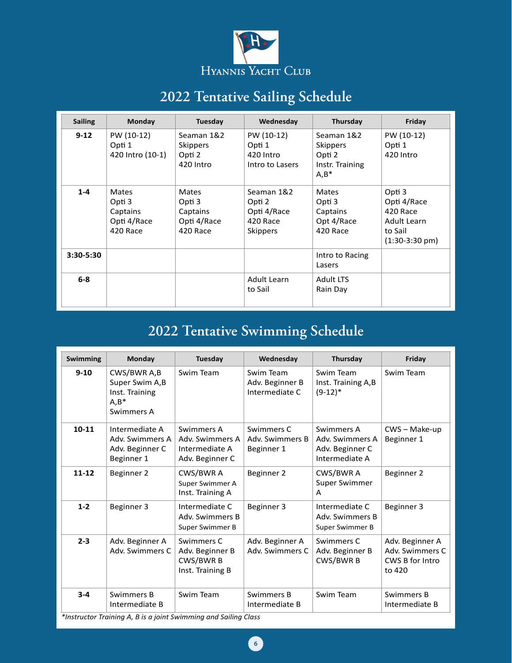

# **2022 Tentative Sailing Schedule**

| <b>Sailing</b> | <b>Monday</b>                                          | Tuesday                                                | Wednesday                                                          | Thursday                                                              | Friday                                                                                  |
|----------------|--------------------------------------------------------|--------------------------------------------------------|--------------------------------------------------------------------|-----------------------------------------------------------------------|-----------------------------------------------------------------------------------------|
| $9 - 12$       | PW (10-12)<br>Opti 1<br>420 Intro (10-1)               | Seaman 1&2<br><b>Skippers</b><br>Opti 2<br>420 Intro   | PW (10-12)<br>Opti 1<br>420 Intro<br>Intro to Lasers               | Seaman 1&2<br><b>Skippers</b><br>Opti 2<br>Instr. Training<br>$A,B^*$ | PW (10-12)<br>Opti 1<br>420 Intro                                                       |
| $1 - 4$        | Mates<br>Opti 3<br>Captains<br>Opti 4/Race<br>420 Race | Mates<br>Opti 3<br>Captains<br>Opti 4/Race<br>420 Race | Seaman 1&2<br>Opti 2<br>Opti 4/Race<br>420 Race<br><b>Skippers</b> | <b>Mates</b><br>Opti 3<br>Captains<br>Opt 4/Race<br>420 Race          | Opti 3<br>Opti 4/Race<br>420 Race<br>Adult Learn<br>to Sail<br>$(1:30-3:30 \text{ pm})$ |
| $3:30 - 5:30$  |                                                        |                                                        |                                                                    | Intro to Racing<br>Lasers                                             |                                                                                         |
| $6-8$          |                                                        |                                                        | Adult Learn<br>to Sail                                             | <b>Adult LTS</b><br>Rain Day                                          |                                                                                         |

# **Swimming Monday Tuesday Wednesday Thursday Friday 2022 Tentative Swimming Schedule**

| <b>Swimming</b> | Monday                                                                    | Tuesday                                                            | Wednesday                                      | Thursday                                                           | Friday                                                          |
|-----------------|---------------------------------------------------------------------------|--------------------------------------------------------------------|------------------------------------------------|--------------------------------------------------------------------|-----------------------------------------------------------------|
| $9 - 10$        | CWS/BWR A,B<br>Super Swim A,B<br>Inst. Training<br>$A, B^*$<br>Swimmers A | Swim Team                                                          | Swim Team<br>Adv. Beginner B<br>Intermediate C | Swim Team<br>Inst. Training A, B<br>$(9-12)*$                      | Swim Team                                                       |
| $10 - 11$       | Intermediate A<br>Adv. Swimmers A<br>Adv. Beginner C<br>Beginner 1        | Swimmers A<br>Adv. Swimmers A<br>Intermediate A<br>Adv. Beginner C | Swimmers C<br>Adv. Swimmers B<br>Beginner 1    | Swimmers A<br>Adv. Swimmers A<br>Adv. Beginner C<br>Intermediate A | CWS-Make-up<br>Beginner 1                                       |
| $11 - 12$       | Beginner 2                                                                | CWS/BWR A<br>Super Swimmer A<br>Inst. Training A                   | Beginner 2                                     | CWS/BWR A<br>Super Swimmer<br>A                                    | Beginner 2                                                      |
| $1 - 2$         | Beginner 3                                                                | Intermediate C<br>Adv. Swimmers B<br>Super Swimmer B               | Beginner 3                                     | Intermediate C<br>Adv. Swimmers B<br>Super Swimmer B               | Beginner 3                                                      |
| $2 - 3$         | Adv. Beginner A<br>Adv. Swimmers C                                        | Swimmers C<br>Adv. Beginner B<br>CWS/BWR B<br>Inst. Training B     | Adv. Beginner A<br>Adv. Swimmers C             | Swimmers C<br>Adv. Beginner B<br>CWS/BWR B                         | Adv. Beginner A<br>Adv. Swimmers C<br>CWS B for Intro<br>to 420 |
| $3 - 4$         | Swimmers B<br>Intermediate B                                              | Swim Team                                                          | Swimmers B<br>Intermediate B                   | Swim Team                                                          | Swimmers B<br>Intermediate B                                    |

*\*Instructor Training A, B is a joint Swimming and Sailing Class*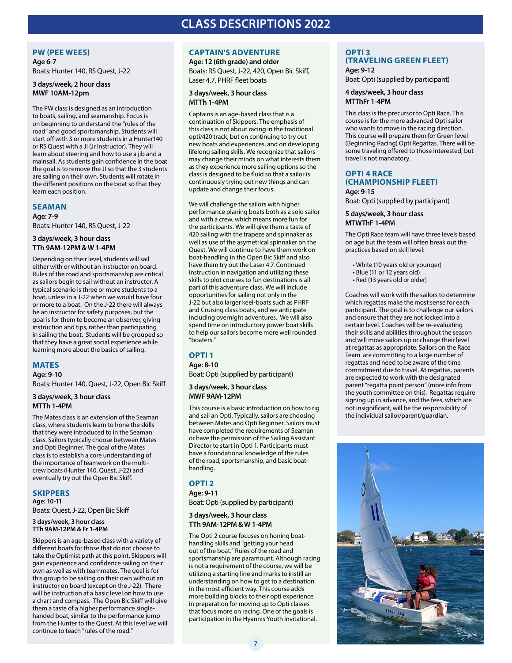# **CLASS DESCRIPTIONS 2022**

#### **PW (PEE WEES)**

**Age 6-7** Boats: Hunter 140, RS Quest, J-22

#### **3 days/week, 2 hour class MWF 10AM-12pm**

The PW class is designed as an introduction to boats, sailing, and seamanship. Focus is on beginning to understand the "rules of the road" and good sportsmanship. Students will start off with 3 or more students in a Hunter140 or RS Quest with a JI (Jr Instructor). They will learn about steering and how to use a jib and a mainsail. As students gain confidence in the boat the goal is to remove the JI so that the 3 students are sailing on their own. Students will rotate in the different positions on the boat so that they learn each position.

#### **SEAMAN**

**Age: 7-9** Boats: Hunter 140, RS Quest, J-22

#### **3 days/week, 3 hour class TTh 9AM-12PM & W 1-4PM**

Depending on their level, students will sail either with or without an instructor on board. Rules of the road and sportsmanship are critical as sailors begin to sail without an instructor. A typical scenario is three or more students to a boat, unless in a J-22 when we would have four or more to a boat. On the J-22 there will always be an instructor for safety purposes, but the goal is for them to become an observer, giving instruction and tips, rather than participating in sailing the boat. Students will be grouped so that they have a great social experience while learning more about the basics of sailing.

### **MATES**

**Age: 9-10** Boats: Hunter 140, Quest, J-22, Open Bic Skiff

#### **3 days/week, 3 hour class MTTh 1-4PM**

The Mates class is an extension of the Seaman class, where students learn to hone the skills that they were introduced to in the Seaman class. Sailors typically choose between Mates and Opti Beginner. The goal of the Mates class is to establish a core understanding of the importance of teamwork on the multicrew boats (Hunter 140, Quest, J-22) and eventually try out the Open Bic Skiff.

### **SKIPPERS**

**Age: 10-11** Boats: Quest, J-22, Open Bic Skiff

#### **3 days/week, 3 hour class TTh 9AM-12PM & Fr 1-4PM**

Skippers is an age-based class with a variety of different boats for those that do not choose to take the Optimist path at this point. Skippers will gain experience and confidence sailing on their own as well as with teammates. The goal is for this group to be sailing on their own without an instructor on board (except on the J-22). There will be instruction at a basic level on how to use a chart and compass. The Open Bic Skiff will give them a taste of a higher performance singlehanded boat, similar to the performance jump from the Hunter to the Quest. At this level we will continue to teach "rules of the road."

## **CAPTAIN'S ADVENTURE**

**Age: 12 (6th grade) and older** Boats: RS Quest, J-22, 420, Open Bic Skiff, Laser 4.7, PHRF fleet boats

#### **3 days/week, 3 hour class MTTh 1-4PM**

Captains is an age-based class that is a continuation of Skippers. The emphasis of this class is not about racing in the traditional opti/420 track, but on continuing to try out new boats and experiences, and on developing lifelong sailing skills. We recognize that sailors may change their minds on what interests them as they experience more sailing options so the class is designed to be fluid so that a sailor is continuously trying out new things and can update and change their focus.

We will challenge the sailors with higher performance planing boats both as a solo sailor and with a crew, which means more fun for the participants. We will give them a taste of 420 sailing with the trapeze and spinnaker as well as use of the asymetrical spinnaker on the Quest. We will continue to have them work on boat-handling in the Open Bic Skiff and also have them try out the Laser 4.7. Continued instruction in navigation and utilizing these skills to plot courses to fun destinations is all part of this adventure class. We will include opportunities for sailing not only in the J-22 but also larger keel-boats such as PHRF and Cruising class boats, and we anticipate including overnight adventures. We will also spend time on introductory power boat skills to help our sailors become more well rounded "boaters."

### **OPTI 1**

**Age: 8-10** Boat: Opti (supplied by participant)

#### **3 days/week, 3 hour class MWF 9AM-12PM**

This course is a basic introduction on how to rig and sail an Opti. Typically, sailors are choosing between Mates and Opti Beginner. Sailors must have completed the requirements of Seaman or have the permission of the Sailing Assistant Director to start in Opti 1. Participants must have a foundational knowledge of the rules of the road, sportsmanship, and basic boathandling.

## **OPTI 2**

**Age: 9-11**

Boat: Opti (supplied by participant)

#### **3 days/week, 3 hour class TTh 9AM-12PM & W 1-4PM**

The Opti 2 course focuses on honing boathandling skills and "getting your head out of the boat." Rules of the road and sportsmanship are paramount. Although racing is not a requirement of the course, we will be utilizing a starting line and marks to instill an understanding on how to get to a destination in the most efficient way. This course adds more building blocks to their opti experience in preparation for moving up to Opti classes that focus more on racing. One of the goals is participation in the Hyannis Youth Invitational.

## **OPTI 3 (TRAVELING GREEN FLEET)**

**Age: 9-12** Boat: Opti (supplied by participant)

#### **4 days/week, 3 hour class MTThFr 1-4PM**

This class is the precursor to Opti Race. This course is for the more advanced Opti sailor who wants to move in the racing direction. This course will prepare them for Green level (Beginning Racing) Opti Regattas. There will be some traveling offered to those interested, but travel is not mandatory.

#### **OPTI 4 RACE (CHAMPIONSHIP FLEET) Age: 9-15**

Boat: Opti (supplied by participant)

#### **5 days/week, 3 hour class MTWThF 1-4PM**

The Opti Race team will have three levels based on age but the team will often break out the practices based on skill level:

- White (10 years old or younger)
- Blue (11 or 12 years old)
- Red (13 years old or older)

Coaches will work with the sailors to determine which regattas make the most sense for each participant. The goal is to challenge our sailors and ensure that they are not locked into a certain level. Coaches will be re-evaluating their skills and abilities throughout the season and will move sailors up or change their level at regattas as appropriate. Sailors on the Race Team are committing to a large number of regattas and need to be aware of the time commitment due to travel. At regattas, parents are expected to work with the designated parent "regatta point person" (more info from the youth committee on this). Regattas require signing up in advance, and the fees, which are not insignificant, will be the responsibility of the individual sailor/parent/guardian.